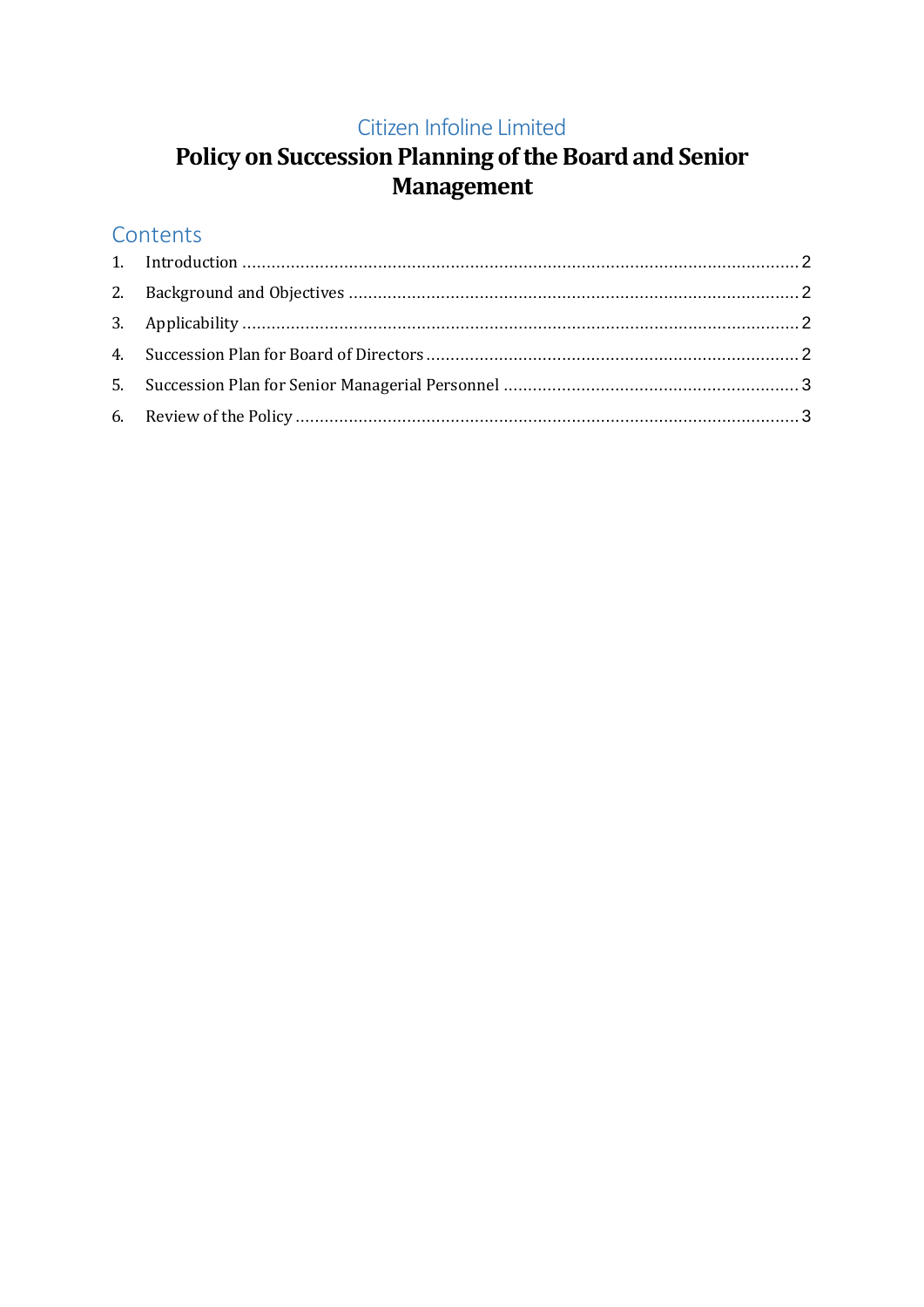#### Citizen Infoline Limited

# Policy on Succession Planning of the Board and Senior Management

#### Contents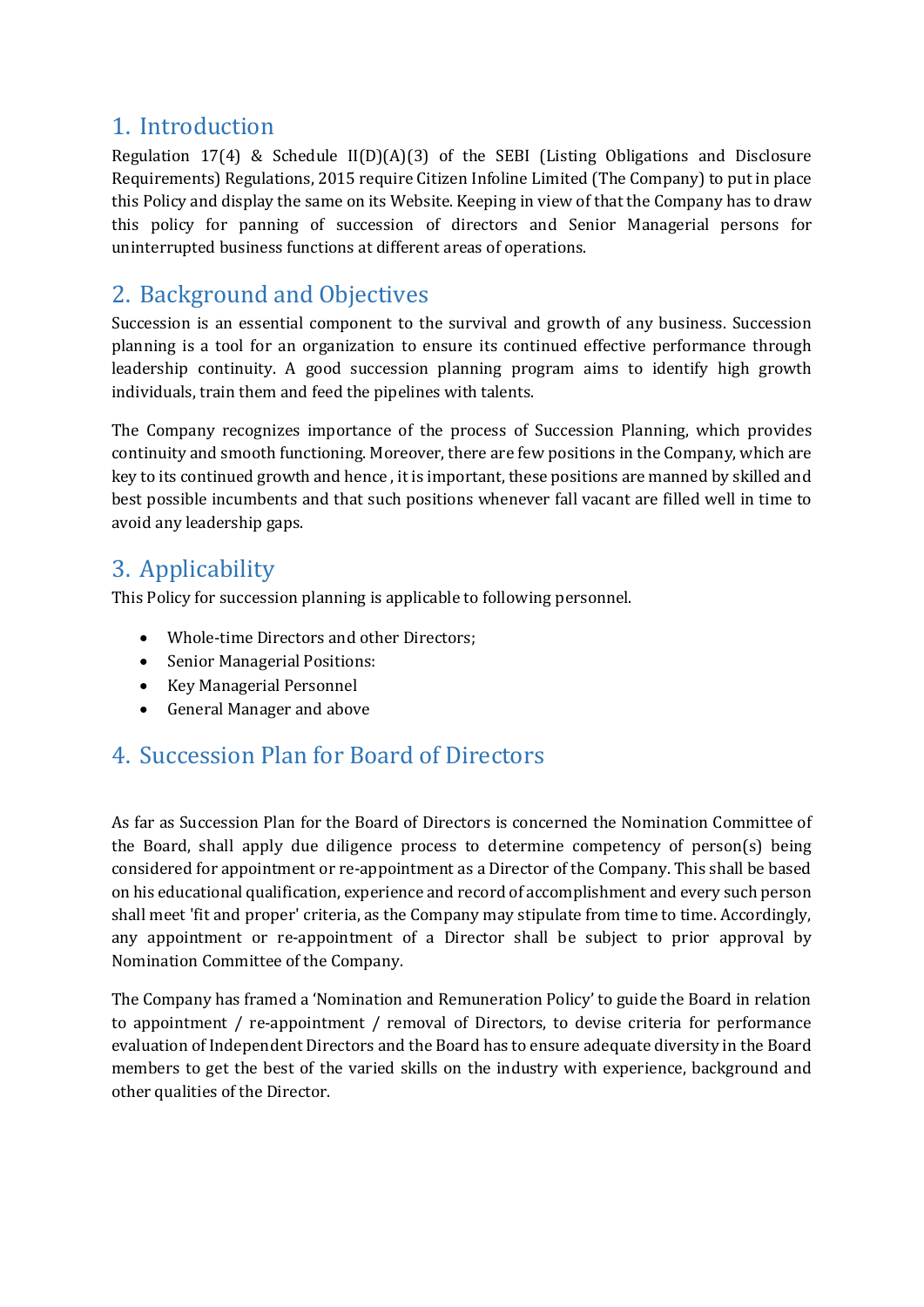#### <span id="page-1-0"></span>1. Introduction

Regulation 17(4) & Schedule  $II(D)(A)(3)$  of the SEBI (Listing Obligations and Disclosure Requirements) Regulations, 2015 require Citizen Infoline Limited (The Company) to put in place this Policy and display the same on its Website. Keeping in view of that the Company has to draw this policy for panning of succession of directors and Senior Managerial persons for uninterrupted business functions at different areas of operations.

# <span id="page-1-1"></span>2. Background and Objectives

Succession is an essential component to the survival and growth of any business. Succession planning is a tool for an organization to ensure its continued effective performance through leadership continuity. A good succession planning program aims to identify high growth individuals, train them and feed the pipelines with talents.

The Company recognizes importance of the process of Succession Planning, which provides continuity and smooth functioning. Moreover, there are few positions in the Company, which are key to its continued growth and hence , it is important, these positions are manned by skilled and best possible incumbents and that such positions whenever fall vacant are filled well in time to avoid any leadership gaps.

## <span id="page-1-2"></span>3. Applicability

This Policy for succession planning is applicable to following personnel.

- Whole-time Directors and other Directors;
- Senior Managerial Positions:
- Key Managerial Personnel
- General Manager and above

# <span id="page-1-3"></span>4. Succession Plan for Board of Directors

As far as Succession Plan for the Board of Directors is concerned the Nomination Committee of the Board, shall apply due diligence process to determine competency of person(s) being considered for appointment or re-appointment as a Director of the Company. This shall be based on his educational qualification, experience and record of accomplishment and every such person shall meet 'fit and proper' criteria, as the Company may stipulate from time to time. Accordingly, any appointment or re-appointment of a Director shall be subject to prior approval by Nomination Committee of the Company.

The Company has framed a 'Nomination and Remuneration Policy' to guide the Board in relation to appointment / re-appointment / removal of Directors, to devise criteria for performance evaluation of Independent Directors and the Board has to ensure adequate diversity in the Board members to get the best of the varied skills on the industry with experience, background and other qualities of the Director.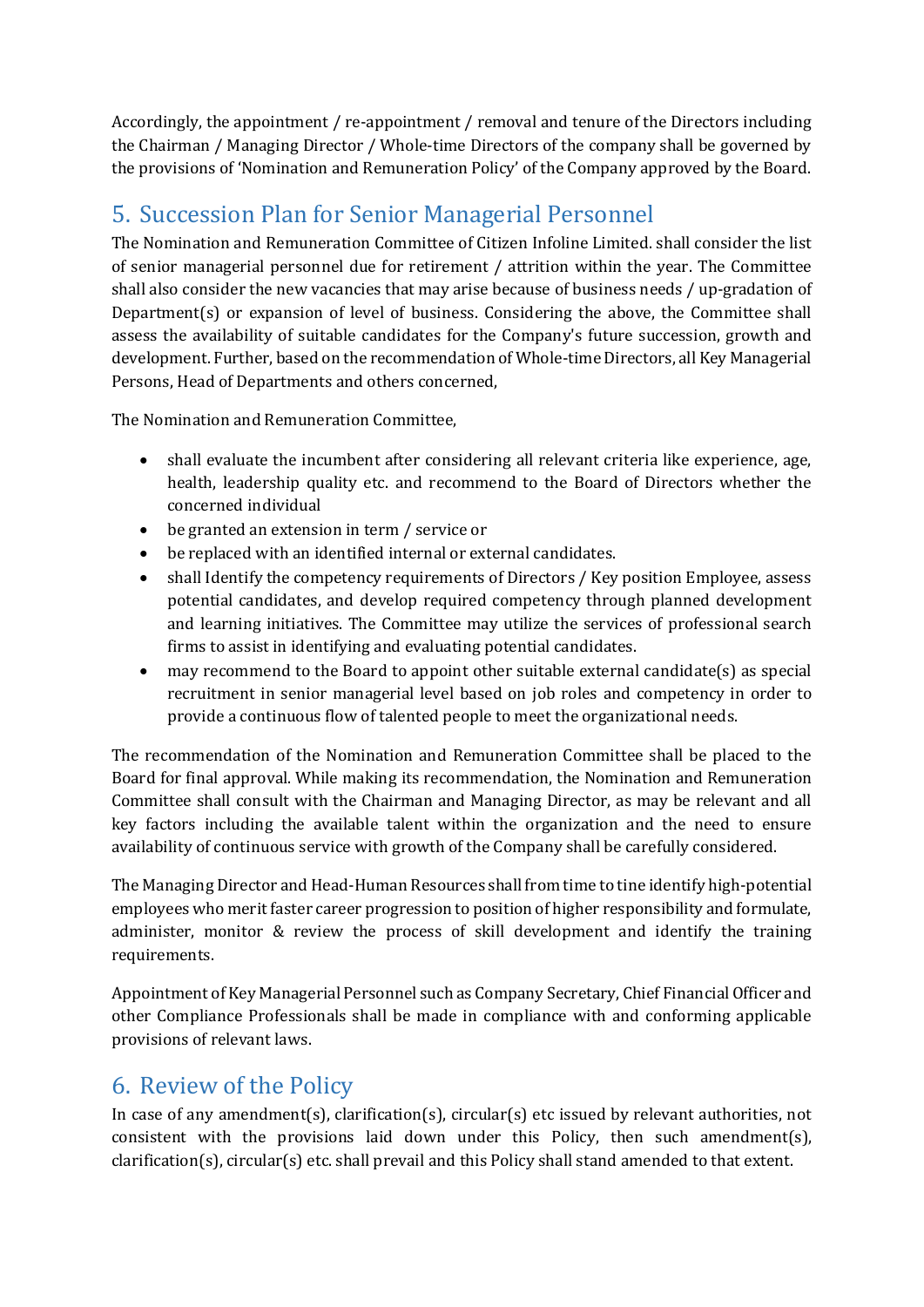Accordingly, the appointment / re-appointment / removal and tenure of the Directors including the Chairman / Managing Director / Whole-time Directors of the company shall be governed by the provisions of 'Nomination and Remuneration Policy' of the Company approved by the Board.

## <span id="page-2-0"></span>5. Succession Plan for Senior Managerial Personnel

The Nomination and Remuneration Committee of Citizen Infoline Limited. shall consider the list of senior managerial personnel due for retirement / attrition within the year. The Committee shall also consider the new vacancies that may arise because of business needs / up-gradation of Department(s) or expansion of level of business. Considering the above, the Committee shall assess the availability of suitable candidates for the Company's future succession, growth and development. Further, based on the recommendation of Whole-time Directors, all Key Managerial Persons, Head of Departments and others concerned,

The Nomination and Remuneration Committee,

- shall evaluate the incumbent after considering all relevant criteria like experience, age, health, leadership quality etc. and recommend to the Board of Directors whether the concerned individual
- be granted an extension in term / service or
- be replaced with an identified internal or external candidates.
- shall Identify the competency requirements of Directors / Key position Employee, assess potential candidates, and develop required competency through planned development and learning initiatives. The Committee may utilize the services of professional search firms to assist in identifying and evaluating potential candidates.
- may recommend to the Board to appoint other suitable external candidate(s) as special recruitment in senior managerial level based on job roles and competency in order to provide a continuous flow of talented people to meet the organizational needs.

The recommendation of the Nomination and Remuneration Committee shall be placed to the Board for final approval. While making its recommendation, the Nomination and Remuneration Committee shall consult with the Chairman and Managing Director, as may be relevant and all key factors including the available talent within the organization and the need to ensure availability of continuous service with growth of the Company shall be carefully considered.

The Managing Director and Head-Human Resources shall from time to tine identify high-potential employees who merit faster career progression to position of higher responsibility and formulate, administer, monitor & review the process of skill development and identify the training requirements.

Appointment of Key Managerial Personnel such as Company Secretary, Chief Financial Officer and other Compliance Professionals shall be made in compliance with and conforming applicable provisions of relevant laws.

#### <span id="page-2-1"></span>6. Review of the Policy

In case of any amendment(s), clarification(s), circular(s) etc issued by relevant authorities, not consistent with the provisions laid down under this Policy, then such amendment(s), clarification(s), circular(s) etc. shall prevail and this Policy shall stand amended to that extent.